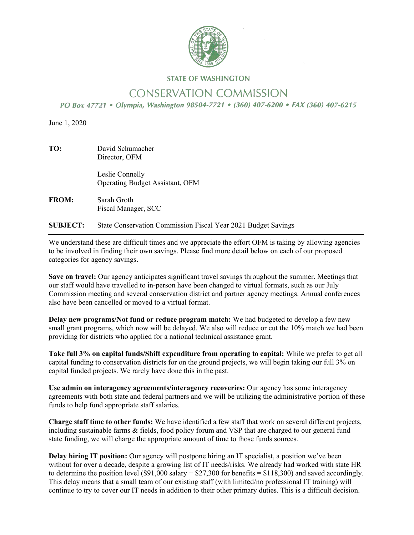

# **STATE OF WASHINGTON**

# **CONSERVATION COMMISSION**

PO Box 47721 • Olympia, Washington 98504-7721 • (360) 407-6200 • FAX (360) 407-6215

June 1, 2020

| TO: | David Schumacher |
|-----|------------------|
|     | Director, OFM    |

 Leslie Connelly Operating Budget Assistant, OFM

**FROM:** Sarah Groth Fiscal Manager, SCC

**SUBJECT:** State Conservation Commission Fiscal Year 2021 Budget Savings

We understand these are difficult times and we appreciate the effort OFM is taking by allowing agencies to be involved in finding their own savings. Please find more detail below on each of our proposed categories for agency savings.

**Save on travel:** Our agency anticipates significant travel savings throughout the summer. Meetings that our staff would have travelled to in-person have been changed to virtual formats, such as our July Commission meeting and several conservation district and partner agency meetings. Annual conferences also have been cancelled or moved to a virtual format.

**Delay new programs/Not fund or reduce program match:** We had budgeted to develop a few new small grant programs, which now will be delayed. We also will reduce or cut the 10% match we had been providing for districts who applied for a national technical assistance grant.

**Take full 3% on capital funds/Shift expenditure from operating to capital:** While we prefer to get all capital funding to conservation districts for on the ground projects, we will begin taking our full 3% on capital funded projects. We rarely have done this in the past.

**Use admin on interagency agreements/interagency recoveries:** Our agency has some interagency agreements with both state and federal partners and we will be utilizing the administrative portion of these funds to help fund appropriate staff salaries.

**Charge staff time to other funds:** We have identified a few staff that work on several different projects, including sustainable farms & fields, food policy forum and VSP that are charged to our general fund state funding, we will charge the appropriate amount of time to those funds sources.

**Delay hiring IT position:** Our agency will postpone hiring an IT specialist, a position we've been without for over a decade, despite a growing list of IT needs/risks. We already had worked with state HR to determine the position level (\$91,000 salary  $+$  \$27,300 for benefits = \$118,300) and saved accordingly. This delay means that a small team of our existing staff (with limited/no professional IT training) will continue to try to cover our IT needs in addition to their other primary duties. This is a difficult decision.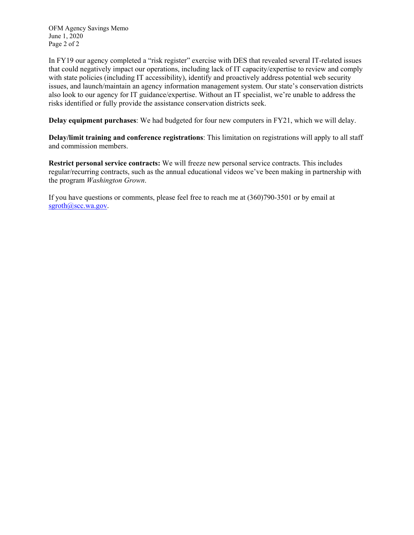OFM Agency Savings Memo June 1, 2020 Page 2 of 2

In FY19 our agency completed a "risk register" exercise with DES that revealed several IT-related issues that could negatively impact our operations, including lack of IT capacity/expertise to review and comply with state policies (including IT accessibility), identify and proactively address potential web security issues, and launch/maintain an agency information management system. Our state's conservation districts also look to our agency for IT guidance/expertise. Without an IT specialist, we're unable to address the risks identified or fully provide the assistance conservation districts seek.

**Delay equipment purchases**: We had budgeted for four new computers in FY21, which we will delay.

**Delay/limit training and conference registrations**: This limitation on registrations will apply to all staff and commission members.

**Restrict personal service contracts:** We will freeze new personal service contracts. This includes regular/recurring contracts, such as the annual educational videos we've been making in partnership with the program *Washington Grown*.

If you have questions or comments, please feel free to reach me at (360)790-3501 or by email at sgroth@scc.wa.gov.